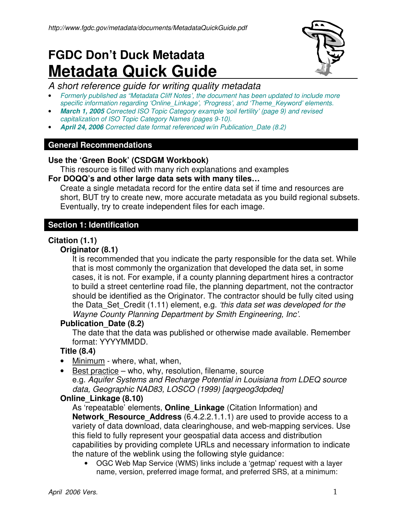# **FGDC Don't Duck Metadata Metadata Quick Guide**



# A short reference guide for writing quality metadata

- Formerly published as "Metadata Cliff Notes', the document has been updated to include more specific information regarding 'Online\_Linkage', 'Progress', and 'Theme\_Keyword' elements.
- **March 1, 2005** Corrected ISO Topic Category example 'soil fertility' (page 9) and revised capitalization of ISO Topic Category Names (pages 9-10).
- **April 24, 2006** Corrected date format referenced w/in Publication\_Date (8.2)

#### **General Recommendations**

## **Use the 'Green Book' (CSDGM Workbook)**

This resource is filled with many rich explanations and examples

#### **For DOQQ's and other large data sets with many tiles…**

Create a single metadata record for the entire data set if time and resources are short, BUT try to create new, more accurate metadata as you build regional subsets. Eventually, try to create independent files for each image.

## **Section 1: Identification**

## **Citation (1.1)**

#### **Originator (8.1)**

It is recommended that you indicate the party responsible for the data set. While that is most commonly the organization that developed the data set, in some cases, it is not. For example, if a county planning department hires a contractor to build a street centerline road file, the planning department, not the contractor should be identified as the Originator. The contractor should be fully cited using the Data Set Credit (1.11) element, e.g. 'this data set was developed for the Wayne County Planning Department by Smith Engineering, Inc'.

## **Publication\_Date (8.2)**

The date that the data was published or otherwise made available. Remember format: YYYYMMDD.

## **Title (8.4)**

- Minimum where, what, when,
- Best practice who, why, resolution, filename, source e.g. Aquifer Systems and Recharge Potential in Louisiana from LDEQ source data, Geographic NAD83, LOSCO (1999) [aqrgeog3dpdeq]

## **Online\_Linkage (8.10)**

As 'repeatable' elements, **Online\_Linkage** (Citation Information) and **Network Resource Address** (6.4.2.2.1.1.1) are used to provide access to a variety of data download, data clearinghouse, and web-mapping services. Use this field to fully represent your geospatial data access and distribution capabilities by providing complete URLs and necessary information to indicate the nature of the weblink using the following style guidance:

• OGC Web Map Service (WMS) links include a 'getmap' request with a layer name, version, preferred image format, and preferred SRS, at a minimum: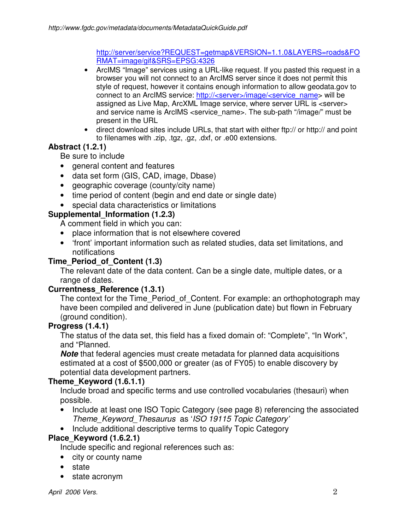http://server/service?REQUEST=getmap&VERSION=1.1.0&LAYERS=roads&FO RMAT=image/gif&SRS=EPSG:4326

- ArcIMS "Image" services using a URL-like request. If you pasted this request in a browser you will not connect to an ArcIMS server since it does not permit this style of request, however it contains enough information to allow geodata.gov to connect to an ArcIMS service: http://<server>/image/<service\_name> will be assigned as Live Map, ArcXML Image service, where server URL is <server> and service name is ArcIMS <service\_name>. The sub-path "/image/" must be present in the URL
- direct download sites include URLs, that start with either ftp:// or http:// and point to filenames with .zip, .tgz, .gz, .dxf, or .e00 extensions.

# **Abstract (1.2.1)**

Be sure to include

- general content and features
- data set form (GIS, CAD, image, Dbase)
- geographic coverage (county/city name)
- time period of content (begin and end date or single date)
- special data characteristics or limitations

# **Supplemental\_Information (1.2.3)**

A comment field in which you can:

- place information that is not elsewhere covered
- 'front' important information such as related studies, data set limitations, and notifications

# **Time\_Period\_of\_Content (1.3)**

The relevant date of the data content. Can be a single date, multiple dates, or a range of dates.

## **Currentness\_Reference (1.3.1)**

The context for the Time Period of Content. For example: an orthophotograph may have been compiled and delivered in June (publication date) but flown in February (ground condition).

## **Progress (1.4.1)**

The status of the data set, this field has a fixed domain of: "Complete", "In Work", and "Planned.

**Note** that federal agencies must create metadata for planned data acquisitions estimated at a cost of \$500,000 or greater (as of FY05) to enable discovery by potential data development partners.

## **Theme\_Keyword (1.6.1.1)**

Include broad and specific terms and use controlled vocabularies (thesauri) when possible.

- Include at least one ISO Topic Category (see page 8) referencing the associated Theme\_Keyword\_Thesaurus as 'ISO 19115 Topic Category'
- Include additional descriptive terms to qualify Topic Category

## **Place\_Keyword (1.6.2.1)**

Include specific and regional references such as:

- city or county name
- state
- state acronym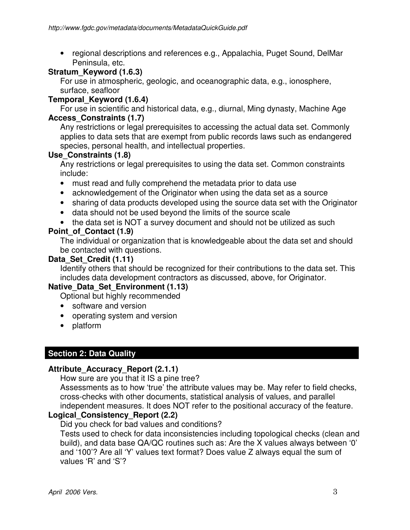• regional descriptions and references e.g., Appalachia, Puget Sound, DelMar Peninsula, etc.

## **Stratum\_Keyword (1.6.3)**

For use in atmospheric, geologic, and oceanographic data, e.g., ionosphere, surface, seafloor

## **Temporal\_Keyword (1.6.4)**

For use in scientific and historical data, e.g., diurnal, Ming dynasty, Machine Age **Access\_Constraints (1.7)** 

Any restrictions or legal prerequisites to accessing the actual data set. Commonly applies to data sets that are exempt from public records laws such as endangered species, personal health, and intellectual properties.

## **Use\_Constraints (1.8)**

Any restrictions or legal prerequisites to using the data set. Common constraints include:

- must read and fully comprehend the metadata prior to data use
- acknowledgement of the Originator when using the data set as a source
- sharing of data products developed using the source data set with the Originator
- data should not be used beyond the limits of the source scale
- the data set is NOT a survey document and should not be utilized as such

## **Point\_of\_Contact (1.9)**

The individual or organization that is knowledgeable about the data set and should be contacted with questions.

## **Data\_Set\_Credit (1.11)**

Identify others that should be recognized for their contributions to the data set. This includes data development contractors as discussed, above, for Originator.

## **Native\_Data\_Set\_Environment (1.13)**

Optional but highly recommended

- software and version
- operating system and version
- platform

# **Section 2: Data Quality**

## **Attribute\_Accuracy\_Report (2.1.1)**

How sure are you that it IS a pine tree?

Assessments as to how 'true' the attribute values may be. May refer to field checks, cross-checks with other documents, statistical analysis of values, and parallel independent measures. It does NOT refer to the positional accuracy of the feature.

## **Logical\_Consistency\_Report (2.2)**

Did you check for bad values and conditions?

Tests used to check for data inconsistencies including topological checks (clean and build), and data base QA/QC routines such as: Are the X values always between '0' and '100'? Are all 'Y' values text format? Does value Z always equal the sum of values 'R' and 'S'?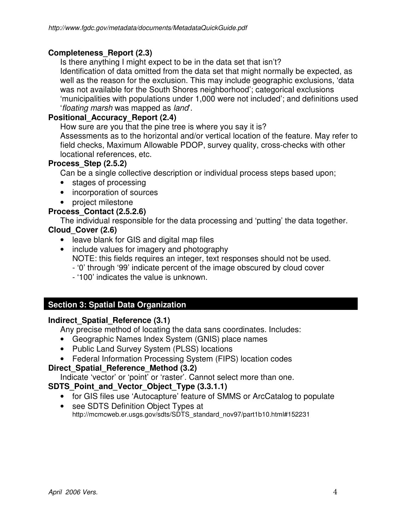## **Completeness\_Report (2.3)**

Is there anything I might expect to be in the data set that isn't? Identification of data omitted from the data set that might normally be expected, as well as the reason for the exclusion. This may include geographic exclusions, 'data was not available for the South Shores neighborhood'; categorical exclusions 'municipalities with populations under 1,000 were not included'; and definitions used 'floating marsh was mapped as land'.

## **Positional\_Accuracy\_Report (2.4)**

How sure are you that the pine tree is where you say it is? Assessments as to the horizontal and/or vertical location of the feature. May refer to field checks, Maximum Allowable PDOP, survey quality, cross-checks with other locational references, etc.

#### **Process\_Step (2.5.2)**

Can be a single collective description or individual process steps based upon;

- stages of processing
- incorporation of sources
- project milestone

## **Process\_Contact (2.5.2.6)**

The individual responsible for the data processing and 'putting' the data together.

## **Cloud\_Cover (2.6)**

- leave blank for GIS and digital map files
- include values for imagery and photography NOTE: this fields requires an integer, text responses should not be used.
	- '0' through '99' indicate percent of the image obscured by cloud cover
	- '100' indicates the value is unknown.

## **Section 3: Spatial Data Organization**

#### **Indirect\_Spatial\_Reference (3.1)**

Any precise method of locating the data sans coordinates. Includes:

- Geographic Names Index System (GNIS) place names
- Public Land Survey System (PLSS) locations
- Federal Information Processing System (FIPS) location codes

## **Direct\_Spatial\_Reference\_Method (3.2)**

Indicate 'vector' or 'point' or 'raster'. Cannot select more than one.

## SDTS Point and Vector Object Type (3.3.1.1)

- for GIS files use 'Autocapture' feature of SMMS or ArcCatalog to populate
- see SDTS Definition Object Types at http://mcmcweb.er.usgs.gov/sdts/SDTS\_standard\_nov97/part1b10.html#152231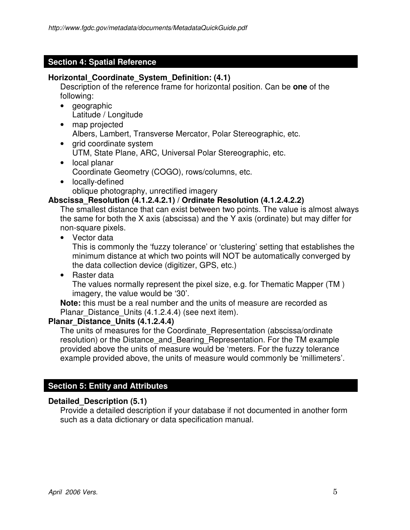## **Section 4: Spatial Reference**

# **Horizontal\_Coordinate\_System\_Definition: (4.1)**

Description of the reference frame for horizontal position. Can be **one** of the following:

- geographic Latitude / Longitude
- map projected Albers, Lambert, Transverse Mercator, Polar Stereographic, etc.
- grid coordinate system UTM, State Plane, ARC, Universal Polar Stereographic, etc.
- local planar Coordinate Geometry (COGO), rows/columns, etc.
- locally-defined oblique photography, unrectified imagery

# **Abscissa\_Resolution (4.1.2.4.2.1) / Ordinate Resolution (4.1.2.4.2.2)**

The smallest distance that can exist between two points. The value is almost always the same for both the X axis (abscissa) and the Y axis (ordinate) but may differ for non-square pixels.

• Vector data

This is commonly the 'fuzzy tolerance' or 'clustering' setting that establishes the minimum distance at which two points will NOT be automatically converged by the data collection device (digitizer, GPS, etc.)

• Raster data The values normally represent the pixel size, e.g. for Thematic Mapper (TM ) imagery, the value would be '30'.

**Note:** this must be a real number and the units of measure are recorded as Planar Distance Units (4.1.2.4.4) (see next item).

## **Planar\_Distance\_Units (4.1.2.4.4)**

The units of measures for the Coordinate Representation (abscissa/ordinate resolution) or the Distance and Bearing Representation. For the TM example provided above the units of measure would be 'meters. For the fuzzy tolerance example provided above, the units of measure would commonly be 'millimeters'.

# **Section 5: Entity and Attributes**

## **Detailed\_Description (5.1)**

Provide a detailed description if your database if not documented in another form such as a data dictionary or data specification manual.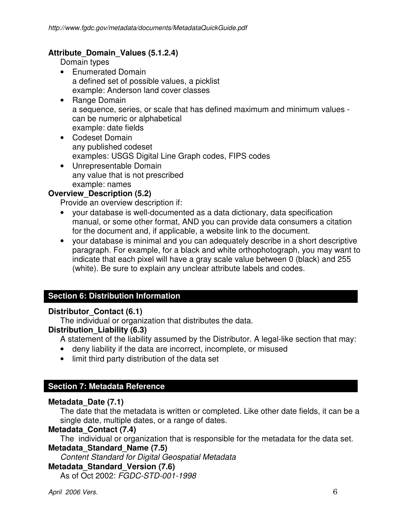## **Attribute\_Domain\_Values (5.1.2.4)**

Domain types

- Enumerated Domain a defined set of possible values, a picklist example: Anderson land cover classes
- Range Domain a sequence, series, or scale that has defined maximum and minimum values can be numeric or alphabetical example: date fields
- Codeset Domain any published codeset examples: USGS Digital Line Graph codes, FIPS codes
- Unrepresentable Domain any value that is not prescribed example: names

# **Overview\_Description (5.2)**

Provide an overview description if:

- your database is well-documented as a data dictionary, data specification manual, or some other format, AND you can provide data consumers a citation for the document and, if applicable, a website link to the document.
- your database is minimal and you can adequately describe in a short descriptive paragraph. For example, for a black and white orthophotograph, you may want to indicate that each pixel will have a gray scale value between 0 (black) and 255 (white). Be sure to explain any unclear attribute labels and codes.

## **Section 6: Distribution Information**

#### **Distributor\_Contact (6.1)**

The individual or organization that distributes the data.

#### **Distribution\_Liability (6.3)**

- A statement of the liability assumed by the Distributor. A legal-like section that may:
- deny liability if the data are incorrect, incomplete, or misused
- limit third party distribution of the data set

## **Section 7: Metadata Reference**

#### **Metadata\_Date (7.1)**

The date that the metadata is written or completed. Like other date fields, it can be a single date, multiple dates, or a range of dates.

#### **Metadata\_Contact (7.4)**

The individual or organization that is responsible for the metadata for the data set.

#### **Metadata\_Standard\_Name (7.5)**

Content Standard for Digital Geospatial Metadata

#### **Metadata\_Standard\_Version (7.6)**

As of Oct 2002: FGDC-STD-001-1998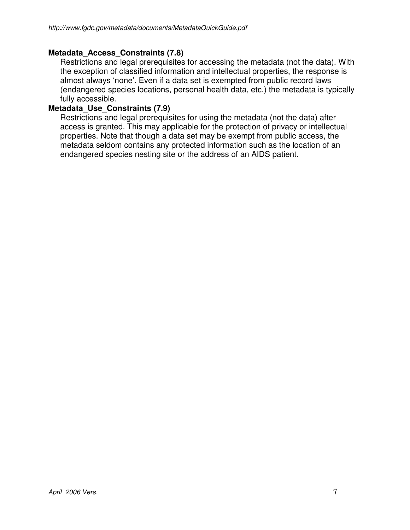## **Metadata\_Access\_Constraints (7.8)**

Restrictions and legal prerequisites for accessing the metadata (not the data). With the exception of classified information and intellectual properties, the response is almost always 'none'. Even if a data set is exempted from public record laws (endangered species locations, personal health data, etc.) the metadata is typically fully accessible.

#### **Metadata\_Use\_Constraints (7.9)**

Restrictions and legal prerequisites for using the metadata (not the data) after access is granted. This may applicable for the protection of privacy or intellectual properties. Note that though a data set may be exempt from public access, the metadata seldom contains any protected information such as the location of an endangered species nesting site or the address of an AIDS patient.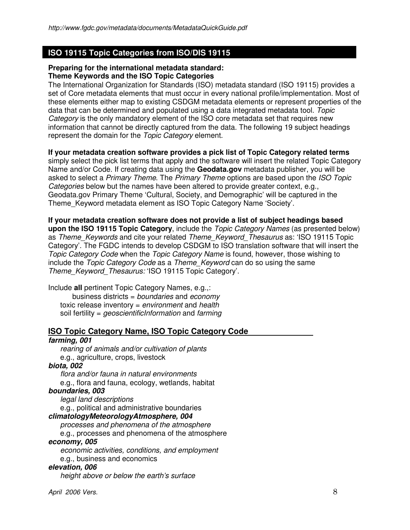## **ISO 19115 Topic Categories from ISO/DIS 19115**

#### **Preparing for the international metadata standard: Theme Keywords and the ISO Topic Categories**

The International Organization for Standards (ISO) metadata standard (ISO 19115) provides a set of Core metadata elements that must occur in every national profile/implementation. Most of these elements either map to existing CSDGM metadata elements or represent properties of the data that can be determined and populated using a data integrated metadata tool. Topic Category is the only mandatory element of the ISO core metadata set that requires new information that cannot be directly captured from the data. The following 19 subject headings represent the domain for the Topic Category element.

#### **If your metadata creation software provides a pick list of Topic Category related terms**

simply select the pick list terms that apply and the software will insert the related Topic Category Name and/or Code. If creating data using the **Geodata.gov** metadata publisher, you will be asked to select a Primary Theme. The Primary Theme options are based upon the ISO Topic Categories below but the names have been altered to provide greater context, e.g., Geodata.gov Primary Theme 'Cultural, Society, and Demographic' will be captured in the Theme\_Keyword metadata element as ISO Topic Category Name 'Society'.

**If your metadata creation software does not provide a list of subject headings based upon the ISO 19115 Topic Category**, include the Topic Category Names (as presented below) as Theme Keywords and cite your related Theme Keyword Thesaurus as: 'ISO 19115 Topic Category'. The FGDC intends to develop CSDGM to ISO translation software that will insert the Topic Category Code when the Topic Category Name is found, however, those wishing to include the Topic Category Code as a Theme Keyword can do so using the same Theme Keyword Thesaurus: 'ISO 19115 Topic Category'.

Include **all** pertinent Topic Category Names, e.g.,: business districts =  $boundaries$  and  $economy$ toxic release inventory = environment and health soil fertility = *geoscientificInformation* and farming

#### **ISO Topic Category Name, ISO Topic Category Code**

# **farming, 001**

rearing of animals and/or cultivation of plants e.g., agriculture, crops, livestock

#### **biota, 002**

flora and/or fauna in natural environments e.g., flora and fauna, ecology, wetlands, habitat

#### **boundaries, 003**

legal land descriptions e.g., political and administrative boundaries

# **climatologyMeteorologyAtmosphere, 004**

processes and phenomena of the atmosphere

e.g., processes and phenomena of the atmosphere

#### **economy, 005**

economic activities, conditions, and employment

e.g., business and economics

#### **elevation, 006**

height above or below the earth's surface